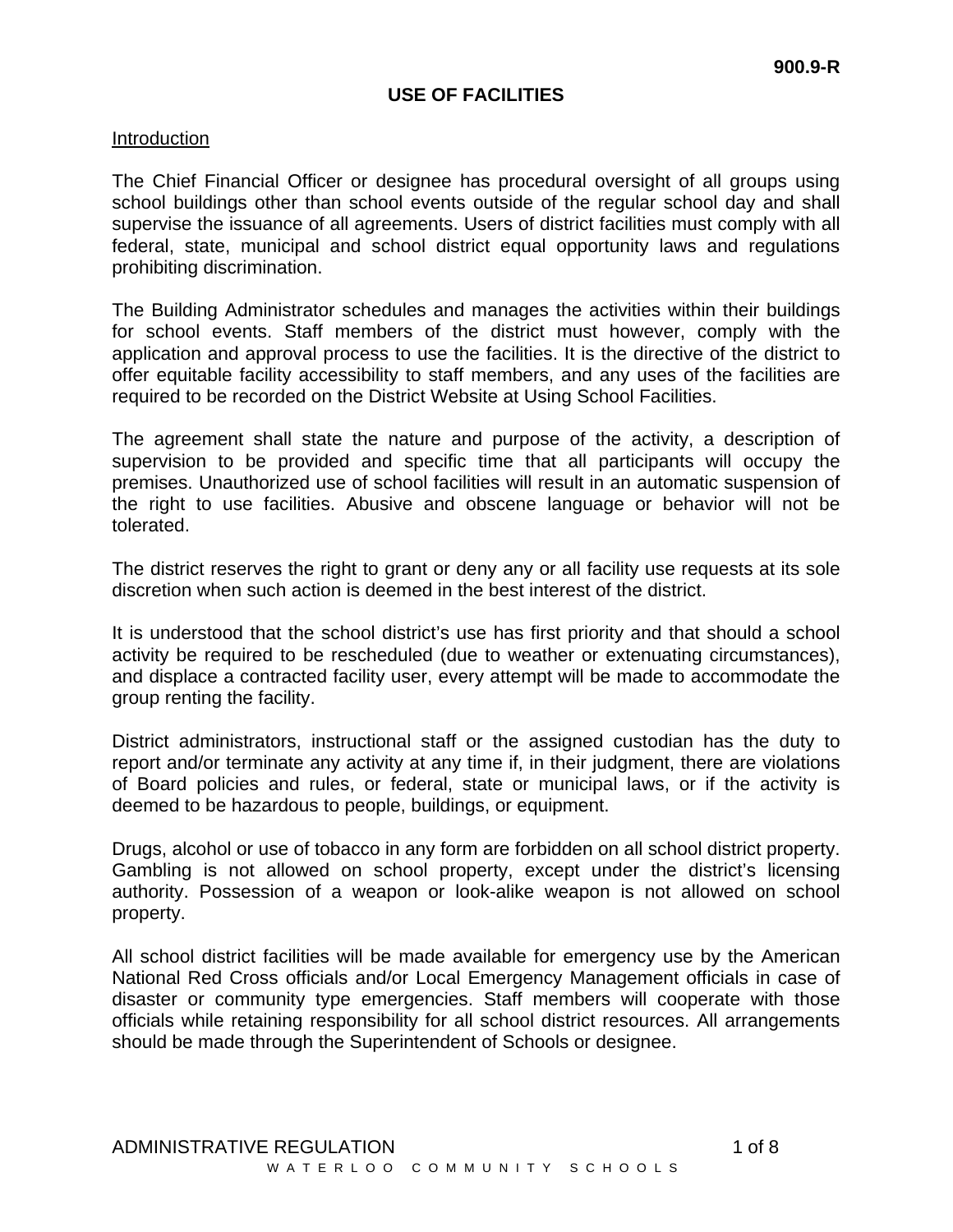# **USE OF FACILITIES**

### Introduction

The Chief Financial Officer or designee has procedural oversight of all groups using school buildings other than school events outside of the regular school day and shall supervise the issuance of all agreements. Users of district facilities must comply with all federal, state, municipal and school district equal opportunity laws and regulations prohibiting discrimination.

The Building Administrator schedules and manages the activities within their buildings for school events. Staff members of the district must however, comply with the application and approval process to use the facilities. It is the directive of the district to offer equitable facility accessibility to staff members, and any uses of the facilities are required to be recorded on the District Website at Using School Facilities.

The agreement shall state the nature and purpose of the activity, a description of supervision to be provided and specific time that all participants will occupy the premises. Unauthorized use of school facilities will result in an automatic suspension of the right to use facilities. Abusive and obscene language or behavior will not be tolerated.

The district reserves the right to grant or deny any or all facility use requests at its sole discretion when such action is deemed in the best interest of the district.

It is understood that the school district's use has first priority and that should a school activity be required to be rescheduled (due to weather or extenuating circumstances), and displace a contracted facility user, every attempt will be made to accommodate the group renting the facility.

District administrators, instructional staff or the assigned custodian has the duty to report and/or terminate any activity at any time if, in their judgment, there are violations of Board policies and rules, or federal, state or municipal laws, or if the activity is deemed to be hazardous to people, buildings, or equipment.

Drugs, alcohol or use of tobacco in any form are forbidden on all school district property. Gambling is not allowed on school property, except under the district's licensing authority. Possession of a weapon or look-alike weapon is not allowed on school property.

All school district facilities will be made available for emergency use by the American National Red Cross officials and/or Local Emergency Management officials in case of disaster or community type emergencies. Staff members will cooperate with those officials while retaining responsibility for all school district resources. All arrangements should be made through the Superintendent of Schools or designee.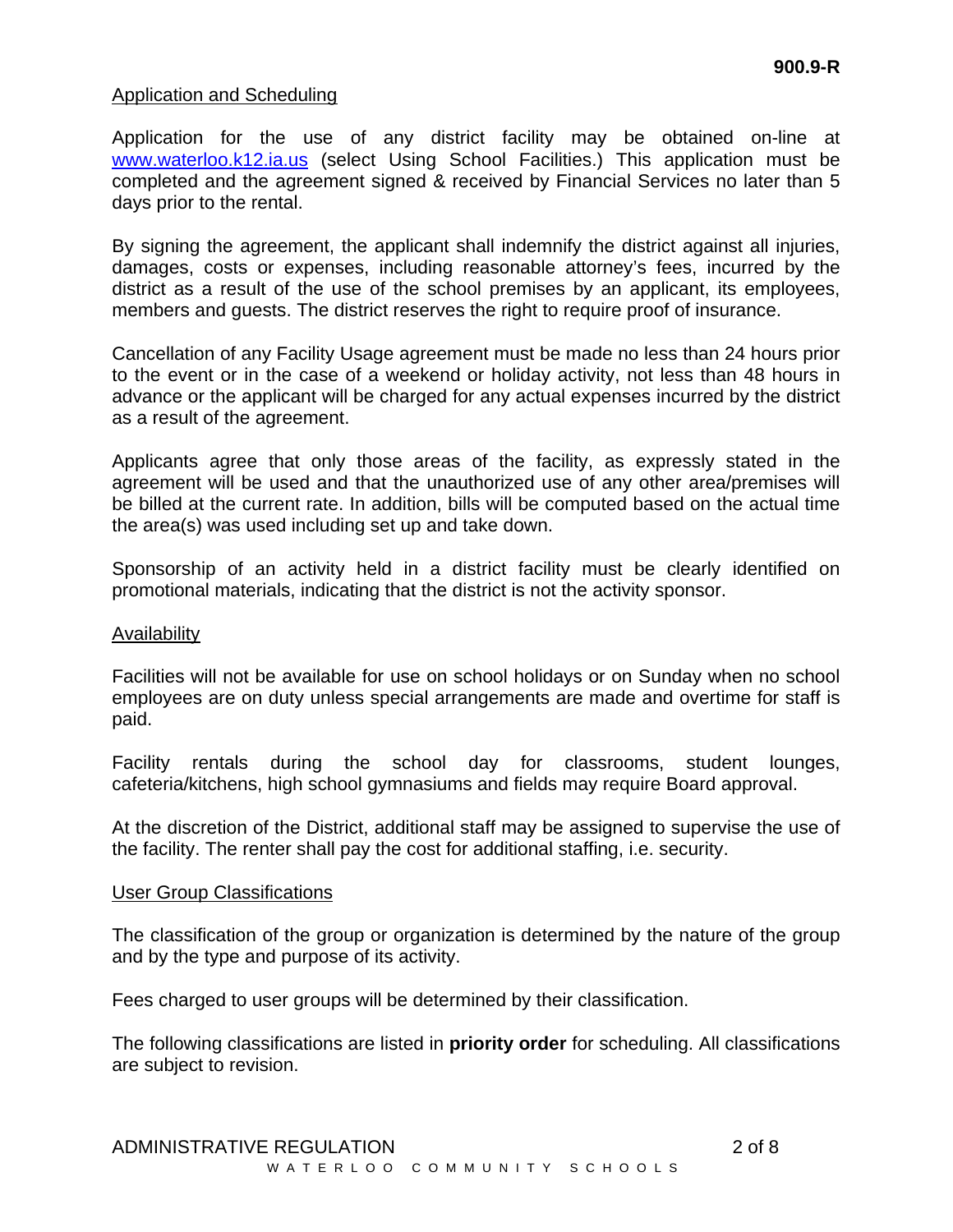### Application and Scheduling

Application for the use of any district facility may be obtained on-line at [www.waterloo.k12.ia.us](http://www.waterloo.k12.ia.us/) (select Using School Facilities.) This application must be completed and the agreement signed & received by Financial Services no later than 5 days prior to the rental.

By signing the agreement, the applicant shall indemnify the district against all injuries, damages, costs or expenses, including reasonable attorney's fees, incurred by the district as a result of the use of the school premises by an applicant, its employees, members and guests. The district reserves the right to require proof of insurance.

Cancellation of any Facility Usage agreement must be made no less than 24 hours prior to the event or in the case of a weekend or holiday activity, not less than 48 hours in advance or the applicant will be charged for any actual expenses incurred by the district as a result of the agreement.

Applicants agree that only those areas of the facility, as expressly stated in the agreement will be used and that the unauthorized use of any other area/premises will be billed at the current rate. In addition, bills will be computed based on the actual time the area(s) was used including set up and take down.

Sponsorship of an activity held in a district facility must be clearly identified on promotional materials, indicating that the district is not the activity sponsor.

#### Availability

Facilities will not be available for use on school holidays or on Sunday when no school employees are on duty unless special arrangements are made and overtime for staff is paid.

Facility rentals during the school day for classrooms, student lounges, cafeteria/kitchens, high school gymnasiums and fields may require Board approval.

At the discretion of the District, additional staff may be assigned to supervise the use of the facility. The renter shall pay the cost for additional staffing, i.e. security.

### User Group Classifications

The classification of the group or organization is determined by the nature of the group and by the type and purpose of its activity.

Fees charged to user groups will be determined by their classification.

The following classifications are listed in **priority order** for scheduling. All classifications are subject to revision.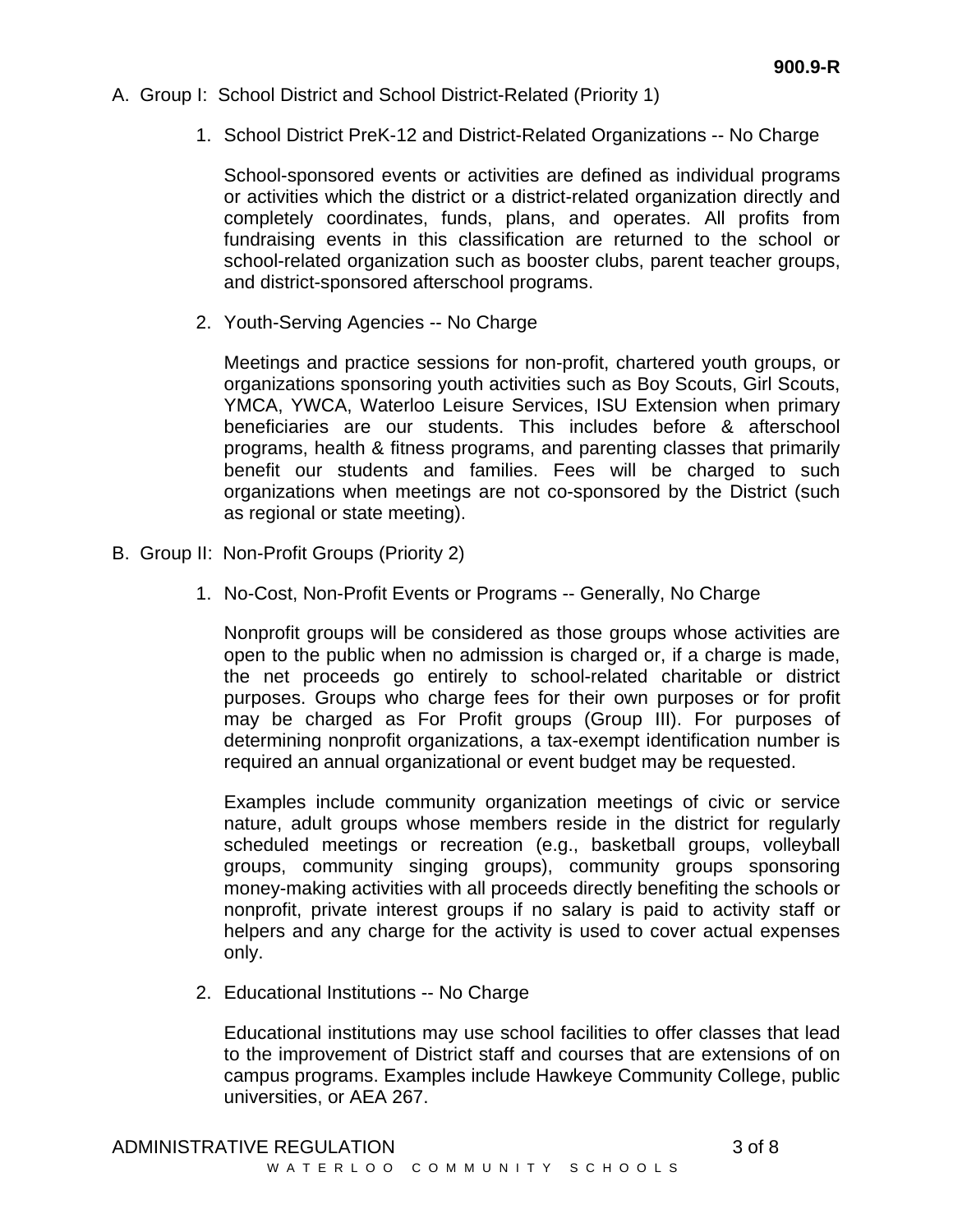- A. Group I: School District and School District-Related (Priority 1)
	- 1. School District PreK-12 and District-Related Organizations -- No Charge

School-sponsored events or activities are defined as individual programs or activities which the district or a district-related organization directly and completely coordinates, funds, plans, and operates. All profits from fundraising events in this classification are returned to the school or school-related organization such as booster clubs, parent teacher groups, and district-sponsored afterschool programs.

2. Youth-Serving Agencies -- No Charge

Meetings and practice sessions for non-profit, chartered youth groups, or organizations sponsoring youth activities such as Boy Scouts, Girl Scouts, YMCA, YWCA, Waterloo Leisure Services, ISU Extension when primary beneficiaries are our students. This includes before & afterschool programs, health & fitness programs, and parenting classes that primarily benefit our students and families. Fees will be charged to such organizations when meetings are not co-sponsored by the District (such as regional or state meeting).

- B. Group II: Non-Profit Groups (Priority 2)
	- 1. No-Cost, Non-Profit Events or Programs -- Generally, No Charge

Nonprofit groups will be considered as those groups whose activities are open to the public when no admission is charged or, if a charge is made, the net proceeds go entirely to school-related charitable or district purposes. Groups who charge fees for their own purposes or for profit may be charged as For Profit groups (Group III). For purposes of determining nonprofit organizations, a tax-exempt identification number is required an annual organizational or event budget may be requested.

Examples include community organization meetings of civic or service nature, adult groups whose members reside in the district for regularly scheduled meetings or recreation (e.g., basketball groups, volleyball groups, community singing groups), community groups sponsoring money-making activities with all proceeds directly benefiting the schools or nonprofit, private interest groups if no salary is paid to activity staff or helpers and any charge for the activity is used to cover actual expenses only.

2. Educational Institutions -- No Charge

Educational institutions may use school facilities to offer classes that lead to the improvement of District staff and courses that are extensions of on campus programs. Examples include Hawkeye Community College, public universities, or AEA 267.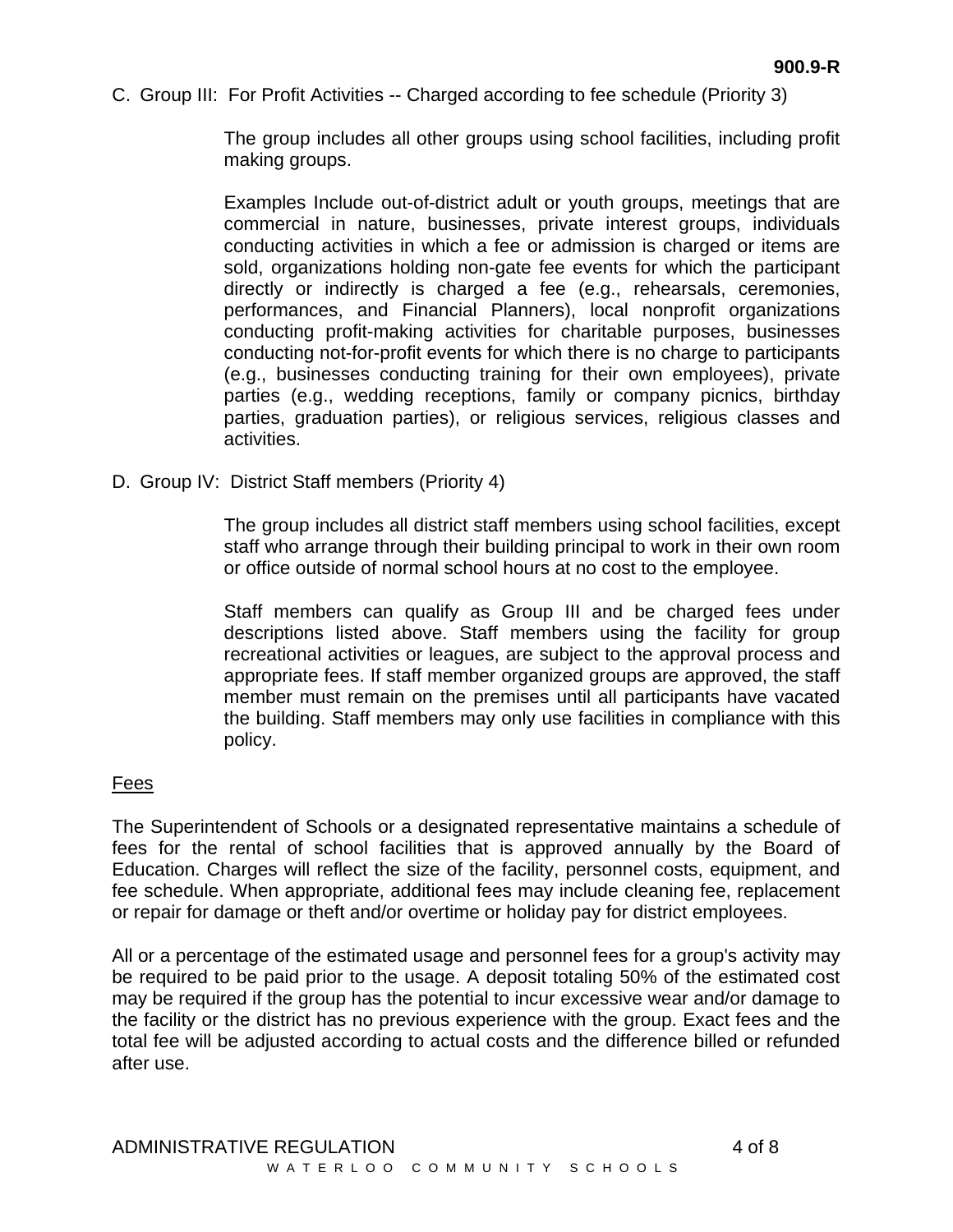C. Group III: For Profit Activities -- Charged according to fee schedule (Priority 3)

The group includes all other groups using school facilities, including profit making groups.

Examples Include out-of-district adult or youth groups, meetings that are commercial in nature, businesses, private interest groups, individuals conducting activities in which a fee or admission is charged or items are sold, organizations holding non-gate fee events for which the participant directly or indirectly is charged a fee (e.g., rehearsals, ceremonies, performances, and Financial Planners), local nonprofit organizations conducting profit-making activities for charitable purposes, businesses conducting not-for-profit events for which there is no charge to participants (e.g., businesses conducting training for their own employees), private parties (e.g., wedding receptions, family or company picnics, birthday parties, graduation parties), or religious services, religious classes and activities.

D. Group IV: District Staff members (Priority 4)

The group includes all district staff members using school facilities, except staff who arrange through their building principal to work in their own room or office outside of normal school hours at no cost to the employee.

Staff members can qualify as Group III and be charged fees under descriptions listed above. Staff members using the facility for group recreational activities or leagues, are subject to the approval process and appropriate fees. If staff member organized groups are approved, the staff member must remain on the premises until all participants have vacated the building. Staff members may only use facilities in compliance with this policy.

# Fees

The Superintendent of Schools or a designated representative maintains a schedule of fees for the rental of school facilities that is approved annually by the Board of Education. Charges will reflect the size of the facility, personnel costs, equipment, and fee schedule. When appropriate, additional fees may include cleaning fee, replacement or repair for damage or theft and/or overtime or holiday pay for district employees.

All or a percentage of the estimated usage and personnel fees for a group's activity may be required to be paid prior to the usage. A deposit totaling 50% of the estimated cost may be required if the group has the potential to incur excessive wear and/or damage to the facility or the district has no previous experience with the group. Exact fees and the total fee will be adjusted according to actual costs and the difference billed or refunded after use.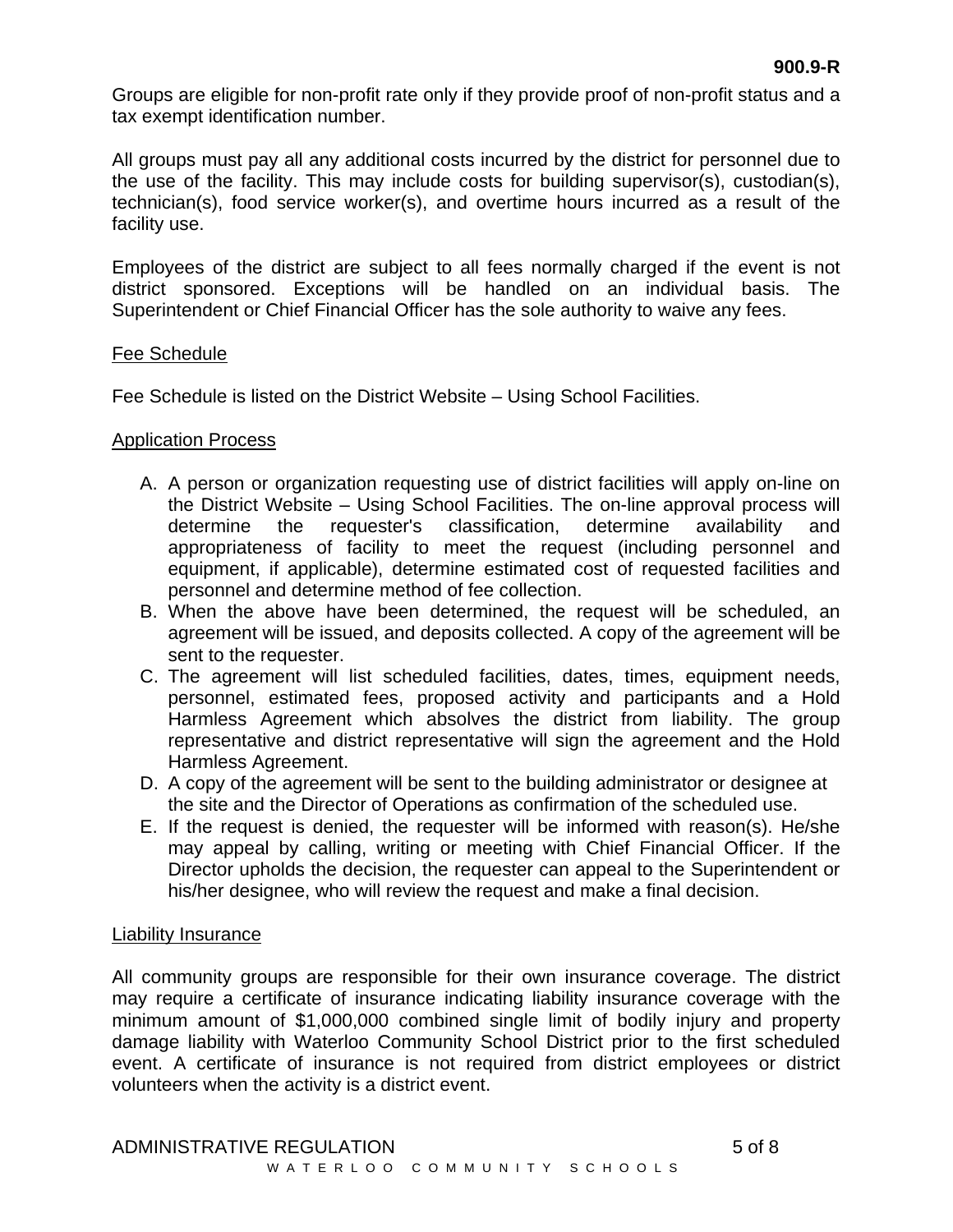Groups are eligible for non-profit rate only if they provide proof of non-profit status and a tax exempt identification number.

All groups must pay all any additional costs incurred by the district for personnel due to the use of the facility. This may include costs for building supervisor(s), custodian(s), technician(s), food service worker(s), and overtime hours incurred as a result of the facility use.

Employees of the district are subject to all fees normally charged if the event is not district sponsored. Exceptions will be handled on an individual basis. The Superintendent or Chief Financial Officer has the sole authority to waive any fees.

# Fee Schedule

Fee Schedule is listed on the District Website – Using School Facilities.

# Application Process

- A. A person or organization requesting use of district facilities will apply on-line on the District Website – Using School Facilities. The on-line approval process will determine the requester's classification, determine availability and appropriateness of facility to meet the request (including personnel and equipment, if applicable), determine estimated cost of requested facilities and personnel and determine method of fee collection.
- B. When the above have been determined, the request will be scheduled, an agreement will be issued, and deposits collected. A copy of the agreement will be sent to the requester.
- C. The agreement will list scheduled facilities, dates, times, equipment needs, personnel, estimated fees, proposed activity and participants and a Hold Harmless Agreement which absolves the district from liability. The group representative and district representative will sign the agreement and the Hold Harmless Agreement.
- D. A copy of the agreement will be sent to the building administrator or designee at the site and the Director of Operations as confirmation of the scheduled use.
- E. If the request is denied, the requester will be informed with reason(s). He/she may appeal by calling, writing or meeting with Chief Financial Officer. If the Director upholds the decision, the requester can appeal to the Superintendent or his/her designee, who will review the request and make a final decision.

# Liability Insurance

All community groups are responsible for their own insurance coverage. The district may require a certificate of insurance indicating liability insurance coverage with the minimum amount of \$1,000,000 combined single limit of bodily injury and property damage liability with Waterloo Community School District prior to the first scheduled event. A certificate of insurance is not required from district employees or district volunteers when the activity is a district event.

ADMINISTRATIVE REGULATION 6 and 5 of 8 WATERLOO COMMUNITY SCHOOLS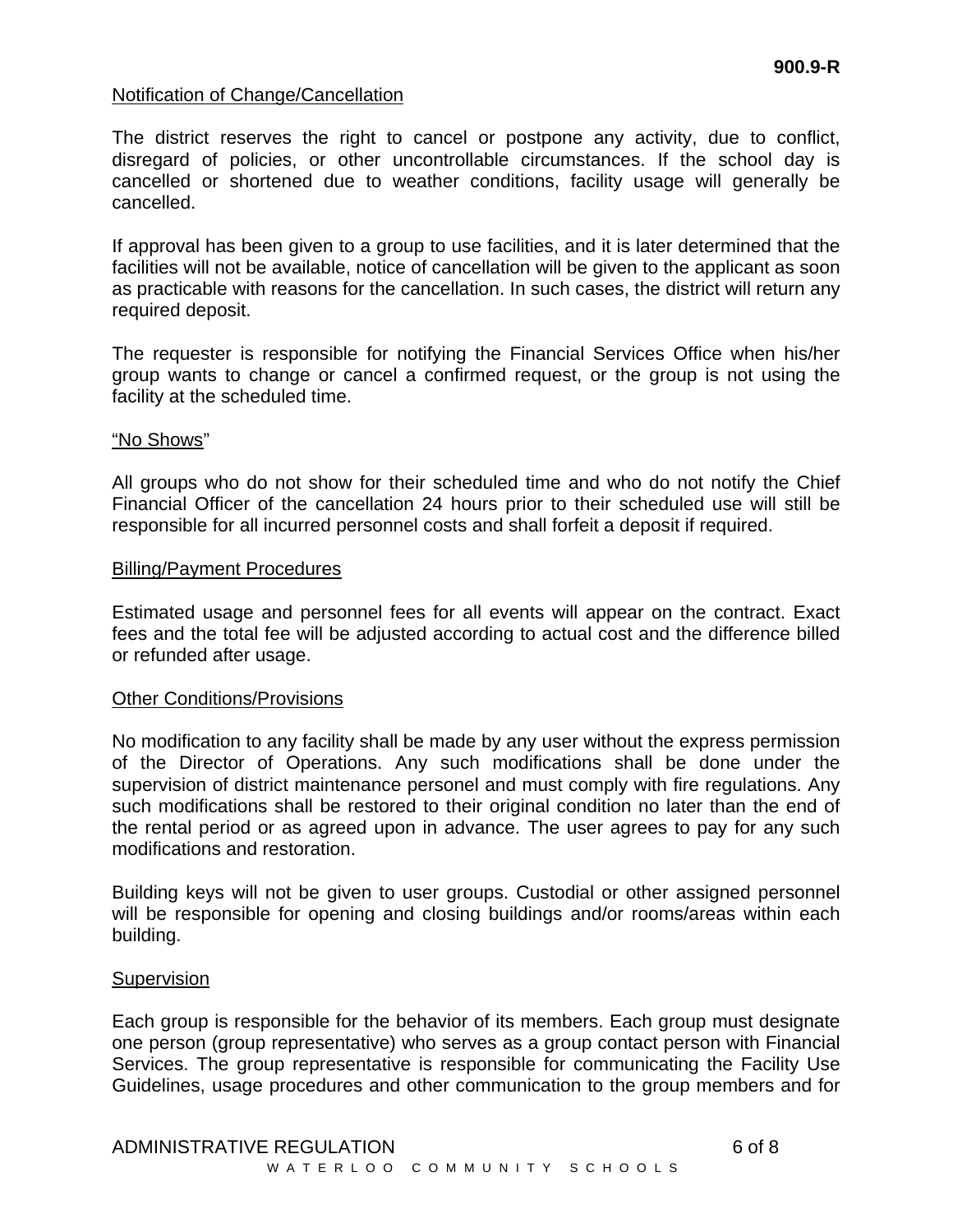### Notification of Change/Cancellation

The district reserves the right to cancel or postpone any activity, due to conflict, disregard of policies, or other uncontrollable circumstances. If the school day is cancelled or shortened due to weather conditions, facility usage will generally be cancelled.

If approval has been given to a group to use facilities, and it is later determined that the facilities will not be available, notice of cancellation will be given to the applicant as soon as practicable with reasons for the cancellation. In such cases, the district will return any required deposit.

The requester is responsible for notifying the Financial Services Office when his/her group wants to change or cancel a confirmed request, or the group is not using the facility at the scheduled time.

#### "No Shows"

All groups who do not show for their scheduled time and who do not notify the Chief Financial Officer of the cancellation 24 hours prior to their scheduled use will still be responsible for all incurred personnel costs and shall forfeit a deposit if required.

#### Billing/Payment Procedures

Estimated usage and personnel fees for all events will appear on the contract. Exact fees and the total fee will be adjusted according to actual cost and the difference billed or refunded after usage.

### Other Conditions/Provisions

No modification to any facility shall be made by any user without the express permission of the Director of Operations. Any such modifications shall be done under the supervision of district maintenance personel and must comply with fire regulations. Any such modifications shall be restored to their original condition no later than the end of the rental period or as agreed upon in advance. The user agrees to pay for any such modifications and restoration.

Building keys will not be given to user groups. Custodial or other assigned personnel will be responsible for opening and closing buildings and/or rooms/areas within each building.

#### **Supervision**

Each group is responsible for the behavior of its members. Each group must designate one person (group representative) who serves as a group contact person with Financial Services. The group representative is responsible for communicating the Facility Use Guidelines, usage procedures and other communication to the group members and for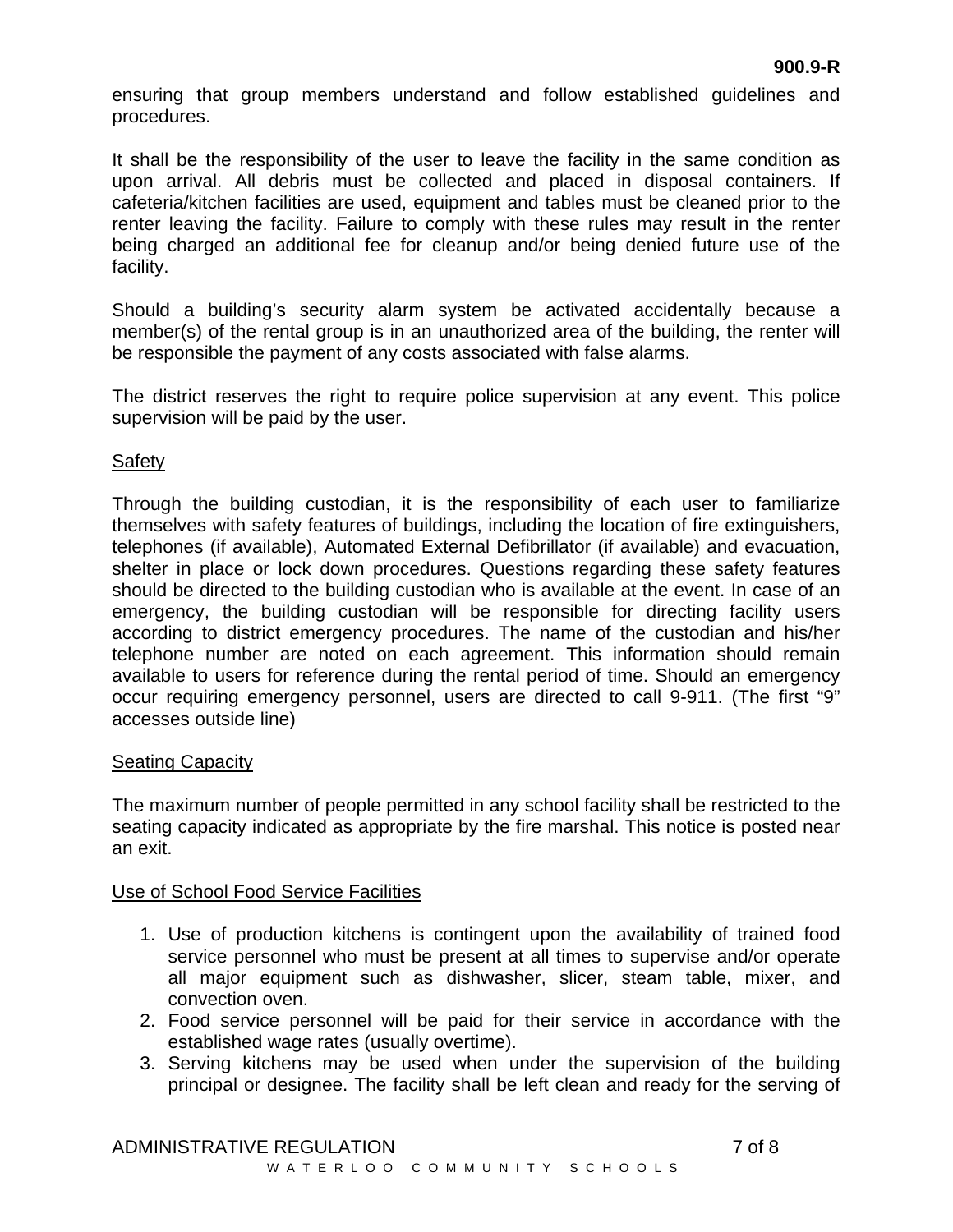ensuring that group members understand and follow established guidelines and procedures.

It shall be the responsibility of the user to leave the facility in the same condition as upon arrival. All debris must be collected and placed in disposal containers. If cafeteria/kitchen facilities are used, equipment and tables must be cleaned prior to the renter leaving the facility. Failure to comply with these rules may result in the renter being charged an additional fee for cleanup and/or being denied future use of the facility.

Should a building's security alarm system be activated accidentally because a member(s) of the rental group is in an unauthorized area of the building, the renter will be responsible the payment of any costs associated with false alarms.

The district reserves the right to require police supervision at any event. This police supervision will be paid by the user.

# **Safety**

Through the building custodian, it is the responsibility of each user to familiarize themselves with safety features of buildings, including the location of fire extinguishers, telephones (if available), Automated External Defibrillator (if available) and evacuation, shelter in place or lock down procedures. Questions regarding these safety features should be directed to the building custodian who is available at the event. In case of an emergency, the building custodian will be responsible for directing facility users according to district emergency procedures. The name of the custodian and his/her telephone number are noted on each agreement. This information should remain available to users for reference during the rental period of time. Should an emergency occur requiring emergency personnel, users are directed to call 9-911. (The first "9" accesses outside line)

# Seating Capacity

The maximum number of people permitted in any school facility shall be restricted to the seating capacity indicated as appropriate by the fire marshal. This notice is posted near an exit.

# Use of School Food Service Facilities

- 1. Use of production kitchens is contingent upon the availability of trained food service personnel who must be present at all times to supervise and/or operate all major equipment such as dishwasher, slicer, steam table, mixer, and convection oven.
- 2. Food service personnel will be paid for their service in accordance with the established wage rates (usually overtime).
- 3. Serving kitchens may be used when under the supervision of the building principal or designee. The facility shall be left clean and ready for the serving of